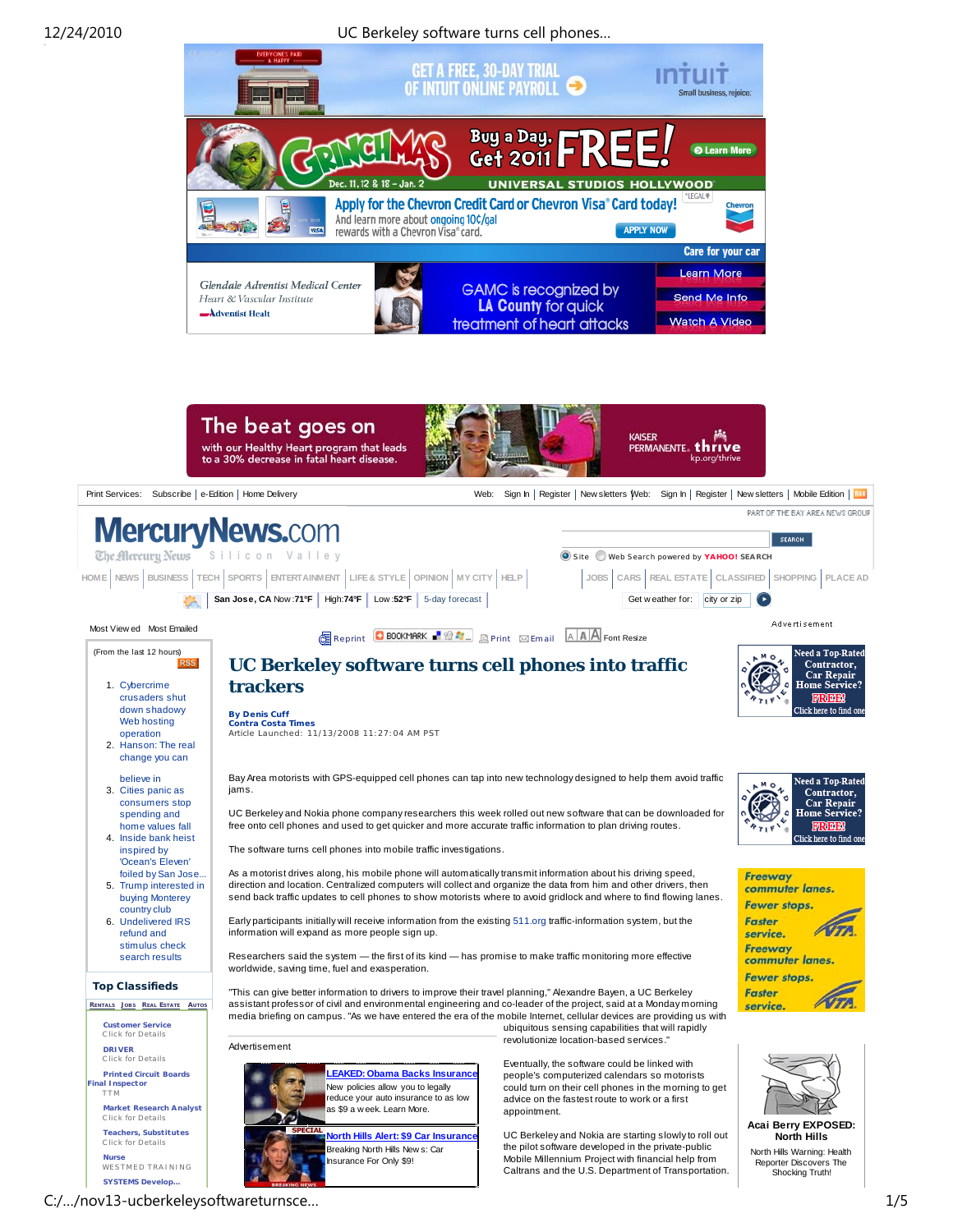

C:/…/nov13-ucberkeleysoftwareturnsce… 1/5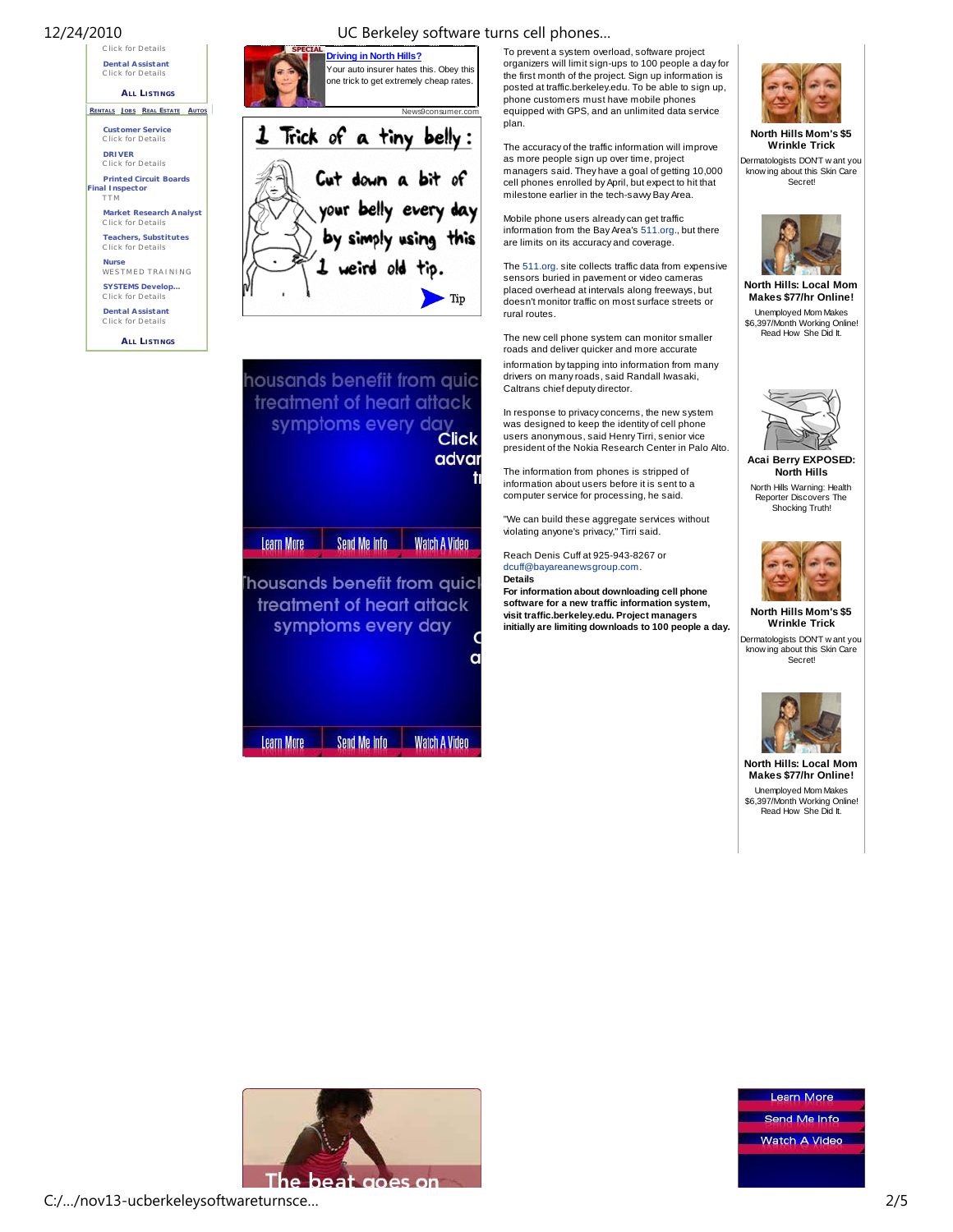





housands benefit from quic treatment of heart attack symptoms every day **Click** advar Learn More Send Me Info Watch A Video housands benefit from quicl treatment of heart attack symptoms every day a

Learn More Send Me Info Watch A Video

To prevent a system overload, software project organizers will limit sign-ups to 100 people a day for the first month of the project. Sign up information is posted at traffic.berkeley.edu. To be able to sign up, phone customers must have mobile phones equipped with GPS, and an unlimited data service plan.

The accuracy of the traffic information will improve as more people sign up over time, project managers said. They have a goal of getting 10,000 cell phones enrolled by April, but expect to hit that milestone earlier in the tech-sawy Bay Area.

Mobile phone users already can get traffic information from the Bay Area's 511.org., but there are limits on its accuracy and coverage.

The 511.org. site collects traffic data from expensive sensors buried in pavement or video cameras placed overhead at intervals along freeways, but doesn't monitor traffic on most surface streets or rural routes.

The new cell phone system can monitor smaller roads and deliver quicker and more accurate information by tapping into information from many drivers on many roads, said Randall Iwasaki, Caltrans chief deputy director.

In response to privacy concerns, the new system was designed to keep the identity of cell phone users anonymous, said Henry Tirri, senior vice president of the Nokia Research Center in Palo Alto.

The information from phones is stripped of information about users before it is sent to a computer service for processing, he said.

"We can build these aggregate services without violating anyone's privacy," Tirri said.

Reach Denis Cuff at 925-943-8267 or dcuff@bayareanewsgroup.com. **Details**

**For information about downloading cell phone software for a new traffic information system, visit traffic.berkeley.edu. Project managers initially are limiting downloads to 100 people a day.**



**North Hills Mom's \$5 Wrinkle Trick** Dermatologists DON'T w ant you know ing about this Skin Care Secret!



**North Hills: Local Mom Makes \$77/hr Online!** Unemployed Mom Makes \$6,397/Month Working Online! Read How She Did It.



**Acai Berry EXPOSED: North Hills** North Hills Warning: Health Reporter Discovers The Shocking Truth!



**North Hills Mom's \$5 Wrinkle Trick** Dermatologists DON'T w ant you know ing about this Skin Care

**Secret!** 



**North Hills: Local Mom Makes \$77/hr Online!** Unemployed Mom Makes \$6,397/Month Working Online! Read How She Did It.



Learn More Send Me Info Watch A Video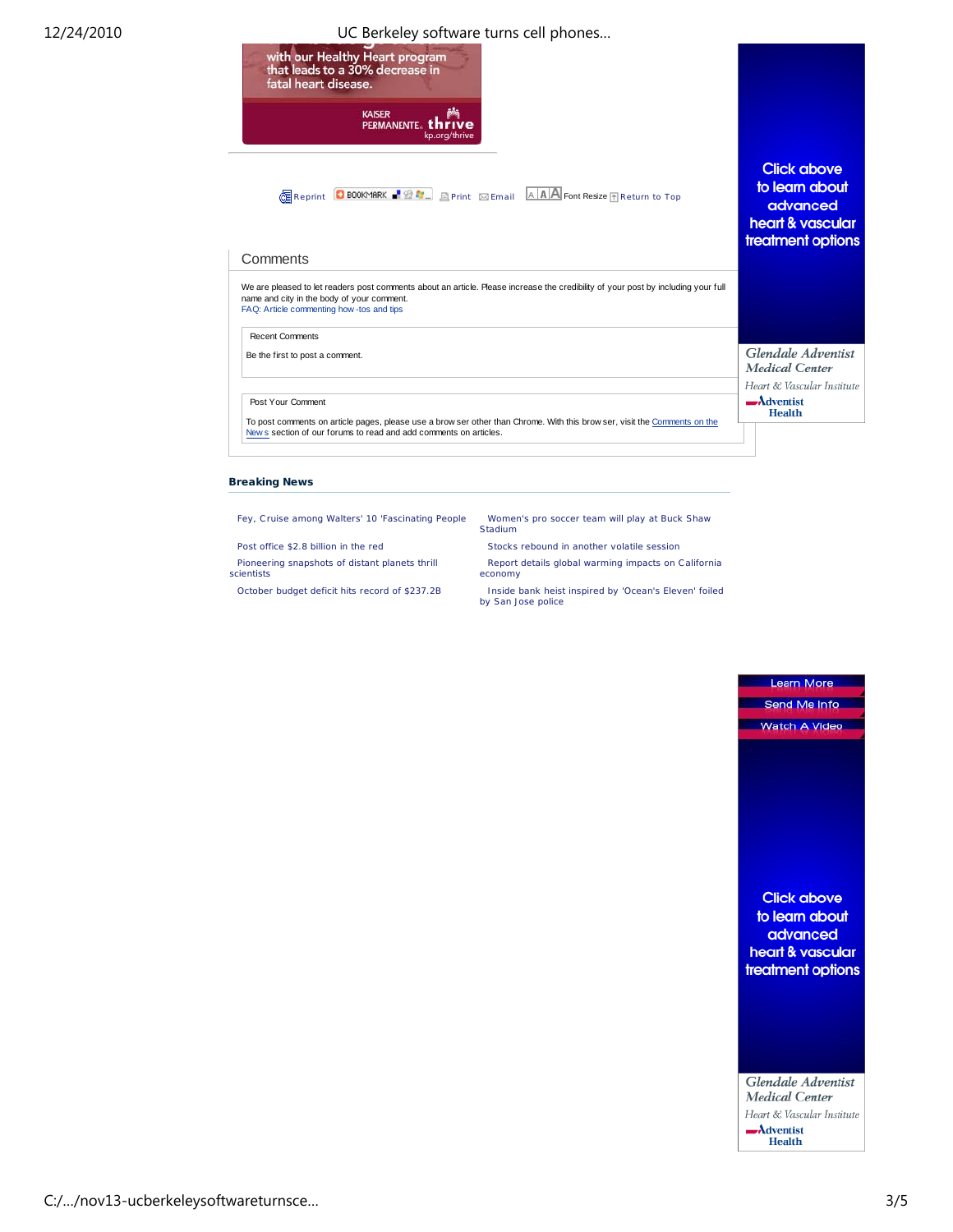## 12/24/2010 UC Berkeley software turns cell phones…



## **Breaking News**

Pioneering snapshots of distant planets thrill scientists

Fey, C ruise among Walters' 10 'Fascinating People Women's pro soccer team will play at Buck Shaw Stadium

Post office \$2.8 billion in the red Stocks rebound in another volatile session

Report details global warming impacts on California economy

October budget deficit hits record of \$237.2B Inside bank heist inspired by 'Ocean's Eleven' foiled by San Jose police



Learn More

Glendale Adventist Medical Center Heart & Vascular Institute  $-\lambda$ dventist **Health**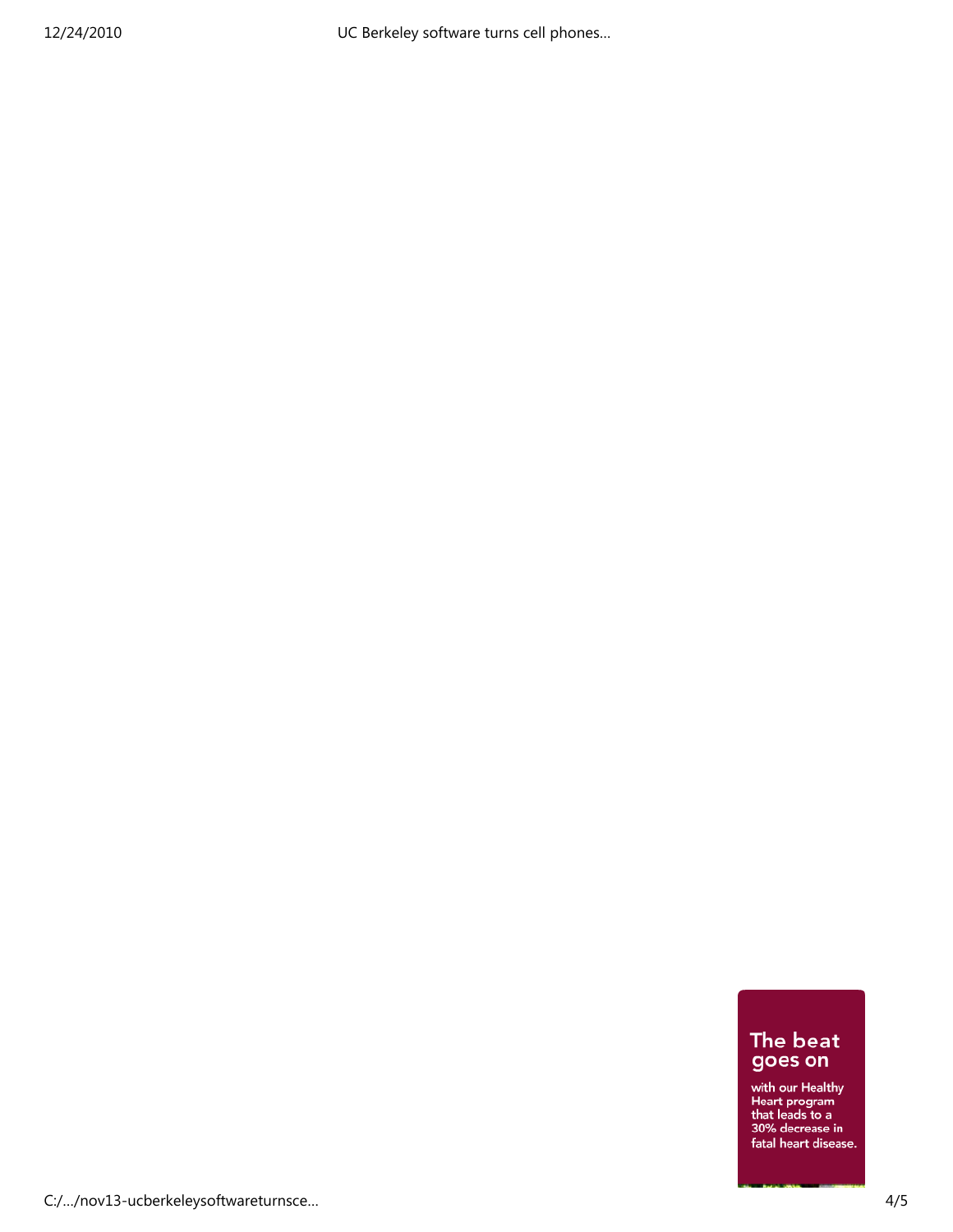UC Berkeley software turns cell phones...

## The beat<br>goes on

with our Healthy<br>Heart program<br>that leads to a<br>30% decrease in fatal heart disease.